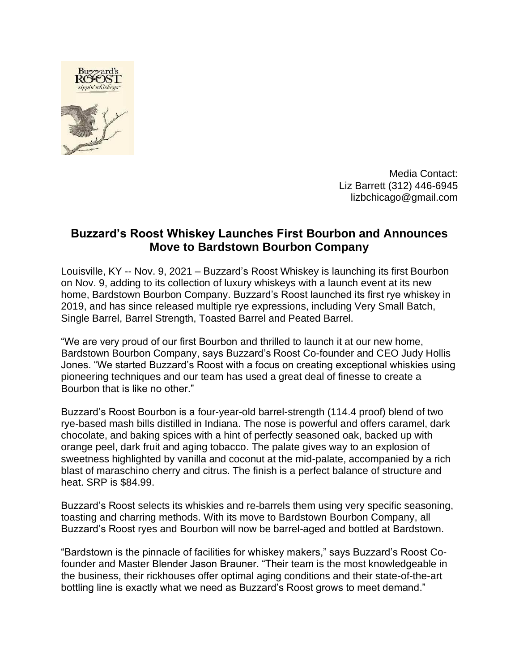

Media Contact: Liz Barrett (312) 446-6945 lizbchicago@gmail.com

## **Buzzard's Roost Whiskey Launches First Bourbon and Announces Move to Bardstown Bourbon Company**

Louisville, KY -- Nov. 9, 2021 – Buzzard's Roost Whiskey is launching its first Bourbon on Nov. 9, adding to its collection of luxury whiskeys with a launch event at its new home, Bardstown Bourbon Company. Buzzard's Roost launched its first rye whiskey in 2019, and has since released multiple rye expressions, including Very Small Batch, Single Barrel, Barrel Strength, Toasted Barrel and Peated Barrel.

"We are very proud of our first Bourbon and thrilled to launch it at our new home, Bardstown Bourbon Company, says Buzzard's Roost Co-founder and CEO Judy Hollis Jones. "We started Buzzard's Roost with a focus on creating exceptional whiskies using pioneering techniques and our team has used a great deal of finesse to create a Bourbon that is like no other."

Buzzard's Roost Bourbon is a four-year-old barrel-strength (114.4 proof) blend of two rye-based mash bills distilled in Indiana. The nose is powerful and offers caramel, dark chocolate, and baking spices with a hint of perfectly seasoned oak, backed up with orange peel, dark fruit and aging tobacco. The palate gives way to an explosion of sweetness highlighted by vanilla and coconut at the mid-palate, accompanied by a rich blast of maraschino cherry and citrus. The finish is a perfect balance of structure and heat. SRP is \$84.99.

Buzzard's Roost selects its whiskies and re-barrels them using very specific seasoning, toasting and charring methods. With its move to Bardstown Bourbon Company, all Buzzard's Roost ryes and Bourbon will now be barrel-aged and bottled at Bardstown.

"Bardstown is the pinnacle of facilities for whiskey makers," says Buzzard's Roost Cofounder and Master Blender Jason Brauner. "Their team is the most knowledgeable in the business, their rickhouses offer optimal aging conditions and their state-of-the-art bottling line is exactly what we need as Buzzard's Roost grows to meet demand."